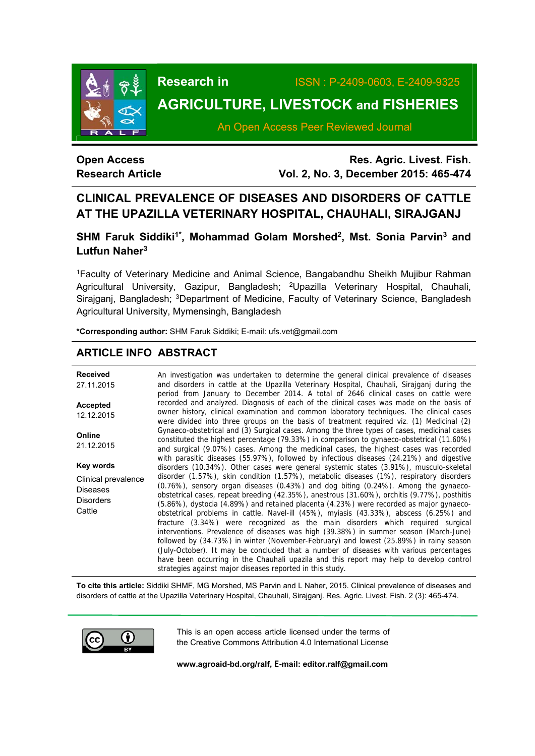

**Research in** ISSN : P-2409-0603, E-2409-9325

# **AGRICULTURE, LIVESTOCK and FISHERIES**

An Open Access Peer Reviewed Journal

# **Open Access Research Article**

**Res. Agric. Livest. Fish. Vol. 2, No. 3, December 2015: 465-474**

# **CLINICAL PREVALENCE OF DISEASES AND DISORDERS OF CATTLE AT THE UPAZILLA VETERINARY HOSPITAL, CHAUHALI, SIRAJGANJ**

# SHM Faruk Siddiki<sup>1\*</sup>, Mohammad Golam Morshed<sup>2</sup>, Mst. Sonia Parvin<sup>3</sup> and **Lutfun Naher3**

1Faculty of Veterinary Medicine and Animal Science, Bangabandhu Sheikh Mujibur Rahman Agricultural University, Gazipur, Bangladesh; 2Upazilla Veterinary Hospital, Chauhali, Sirajganj, Bangladesh; <sup>3</sup>Department of Medicine, Faculty of Veterinary Science, Bangladesh Agricultural University, Mymensingh, Bangladesh

**\*Corresponding author:** SHM Faruk Siddiki; E-mail: ufs.vet@gmail.com

# **ARTICLE INFO ABSTRACT**

| <b>Received</b><br>27.11.2015                                        | An investigation was undertaken to determine the general clinical prevalence of diseases<br>and disorders in cattle at the Upazilla Veterinary Hospital, Chauhali, Sirajganj during the<br>period from January to December 2014. A total of 2646 clinical cases on cattle were                                                                                                                                                                                                                                                                                                                                                                                                                                                                                                                                                                                                                                                                                                                     |
|----------------------------------------------------------------------|----------------------------------------------------------------------------------------------------------------------------------------------------------------------------------------------------------------------------------------------------------------------------------------------------------------------------------------------------------------------------------------------------------------------------------------------------------------------------------------------------------------------------------------------------------------------------------------------------------------------------------------------------------------------------------------------------------------------------------------------------------------------------------------------------------------------------------------------------------------------------------------------------------------------------------------------------------------------------------------------------|
| <b>Accepted</b><br>12.12.2015                                        | recorded and analyzed. Diagnosis of each of the clinical cases was made on the basis of<br>owner history, clinical examination and common laboratory techniques. The clinical cases<br>were divided into three groups on the basis of treatment required viz. (1) Medicinal (2)                                                                                                                                                                                                                                                                                                                                                                                                                                                                                                                                                                                                                                                                                                                    |
| <b>Online</b><br>21.12.2015                                          | Gynaeco-obstetrical and (3) Surgical cases. Among the three types of cases, medicinal cases<br>constituted the highest percentage (79.33%) in comparison to gynaeco-obstetrical (11.60%)<br>and surgical (9.07%) cases. Among the medicinal cases, the highest cases was recorded                                                                                                                                                                                                                                                                                                                                                                                                                                                                                                                                                                                                                                                                                                                  |
| Key words                                                            | with parasitic diseases (55.97%), followed by infectious diseases (24.21%) and digestive<br>disorders (10.34%). Other cases were general systemic states (3.91%), musculo-skeletal                                                                                                                                                                                                                                                                                                                                                                                                                                                                                                                                                                                                                                                                                                                                                                                                                 |
| Clinical prevalence<br><b>Diseases</b><br><b>Disorders</b><br>Cattle | disorder (1.57%), skin condition (1.57%), metabolic diseases (1%), respiratory disorders<br>$(0.76%)$ , sensory organ diseases $(0.43%)$ and dog biting $(0.24%)$ . Among the gynaeco-<br>obstetrical cases, repeat breeding (42.35%), anestrous (31.60%), orchitis (9.77%), posthitis<br>(5.86%), dystocia (4.89%) and retained placenta (4.23%) were recorded as major gynaeco-<br>obstetrical problems in cattle. Navel-ill (45%), myiasis (43.33%), abscess (6.25%) and<br>fracture (3.34%) were recognized as the main disorders which required surgical<br>interventions. Prevalence of diseases was high (39.38%) in summer season (March-June)<br>followed by (34.73%) in winter (November-February) and lowest (25.89%) in rainy season<br>(July-October). It may be concluded that a number of diseases with various percentages<br>have been occurring in the Chauhali upazila and this report may help to develop control<br>strategies against major diseases reported in this study. |

**To cite this article:** Siddiki SHMF, MG Morshed, MS Parvin and L Naher, 2015. Clinical prevalence of diseases and disorders of cattle at the Upazilla Veterinary Hospital, Chauhali, Sirajganj. Res. Agric. Livest. Fish. 2 (3): 465-474.



This is an open access article licensed under the terms of the Creative Commons Attribution 4.0 International License

**www.agroaid-bd.org/ralf, E-mail: editor.ralf@gmail.com**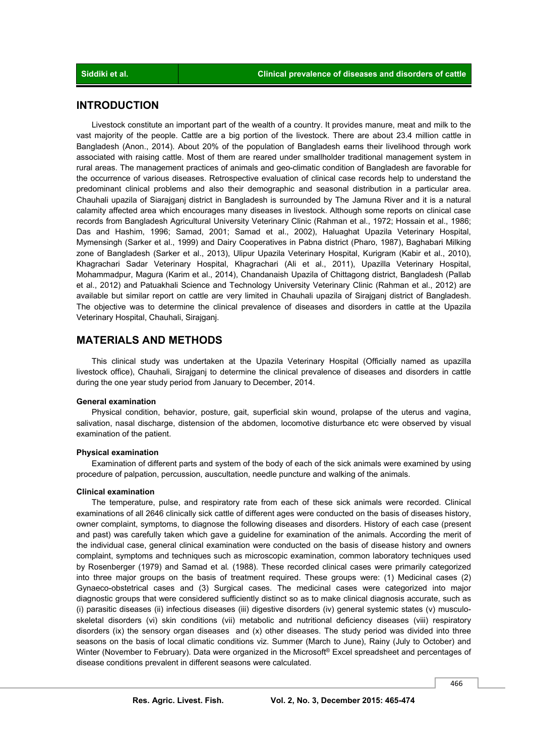### **INTRODUCTION**

 Livestock constitute an important part of the wealth of a country. It provides manure, meat and milk to the vast majority of the people. Cattle are a big portion of the livestock. There are about 23.4 million cattle in Bangladesh (Anon., 2014). About 20% of the population of Bangladesh earns their livelihood through work associated with raising cattle. Most of them are reared under smallholder traditional management system in rural areas. The management practices of animals and geo-climatic condition of Bangladesh are favorable for the occurrence of various diseases. Retrospective evaluation of clinical case records help to understand the predominant clinical problems and also their demographic and seasonal distribution in a particular area. Chauhali upazila of Siarajganj district in Bangladesh is surrounded by The Jamuna River and it is a natural calamity affected area which encourages many diseases in livestock. Although some reports on clinical case records from Bangladesh Agricultural University Veterinary Clinic (Rahman et al., 1972; Hossain et al., 1986; Das and Hashim, 1996; Samad, 2001; Samad et al., 2002), Haluaghat Upazila Veterinary Hospital, Mymensingh (Sarker et al., 1999) and Dairy Cooperatives in Pabna district (Pharo, 1987), Baghabari Milking zone of Bangladesh (Sarker et al., 2013), Ulipur Upazila Veterinary Hospital, Kurigram (Kabir et al., 2010), Khagrachari Sadar Veterinary Hospital, Khagrachari (Ali et al., 2011), Upazilla Veterinary Hospital, Mohammadpur, Magura (Karim et al., 2014), Chandanaish Upazila of Chittagong district, Bangladesh (Pallab et al., 2012) and Patuakhali Science and Technology University Veterinary Clinic (Rahman et al., 2012) are available but similar report on cattle are very limited in Chauhali upazila of Sirajganj district of Bangladesh. The objective was to determine the clinical prevalence of diseases and disorders in cattle at the Upazila Veterinary Hospital, Chauhali, Sirajganj.

### **MATERIALS AND METHODS**

 This clinical study was undertaken at the Upazila Veterinary Hospital (Officially named as upazilla livestock office), Chauhali, Sirajganj to determine the clinical prevalence of diseases and disorders in cattle during the one year study period from January to December, 2014.

#### **General examination**

 Physical condition, behavior, posture, gait, superficial skin wound, prolapse of the uterus and vagina, salivation, nasal discharge, distension of the abdomen, locomotive disturbance etc were observed by visual examination of the patient.

### **Physical examination**

 Examination of different parts and system of the body of each of the sick animals were examined by using procedure of palpation, percussion, auscultation, needle puncture and walking of the animals.

#### **Clinical examination**

 The temperature, pulse, and respiratory rate from each of these sick animals were recorded. Clinical examinations of all 2646 clinically sick cattle of different ages were conducted on the basis of diseases history, owner complaint, symptoms, to diagnose the following diseases and disorders. History of each case (present and past) was carefully taken which gave a guideline for examination of the animals. According the merit of the individual case, general clinical examination were conducted on the basis of disease history and owners complaint, symptoms and techniques such as microscopic examination, common laboratory techniques used by Rosenberger (1979) and Samad et al*.* (1988). These recorded clinical cases were primarily categorized into three major groups on the basis of treatment required. These groups were: (1) Medicinal cases (2) Gynaeco-obstetrical cases and (3) Surgical cases. The medicinal cases were categorized into major diagnostic groups that were considered sufficiently distinct so as to make clinical diagnosis accurate, such as (i) parasitic diseases (ii) infectious diseases (iii) digestive disorders (iv) general systemic states (v) musculoskeletal disorders (vi) skin conditions (vii) metabolic and nutritional deficiency diseases (viii) respiratory disorders (ix) the sensory organ diseases and (x) other diseases. The study period was divided into three seasons on the basis of local climatic conditions viz. Summer (March to June), Rainy (July to October) and Winter (November to February). Data were organized in the Microsoft® Excel spreadsheet and percentages of disease conditions prevalent in different seasons were calculated.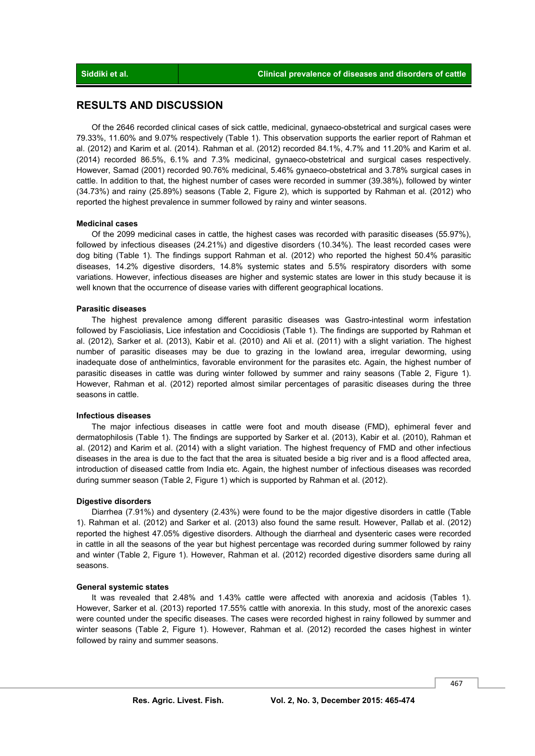### **RESULTS AND DISCUSSION**

 Of the 2646 recorded clinical cases of sick cattle, medicinal, gynaeco-obstetrical and surgical cases were 79.33%, 11.60% and 9.07% respectively (Table 1). This observation supports the earlier report of Rahman et al. (2012) and Karim et al. (2014). Rahman et al. (2012) recorded 84.1%, 4.7% and 11.20% and Karim et al. (2014) recorded 86.5%, 6.1% and 7.3% medicinal, gynaeco-obstetrical and surgical cases respectively. However, Samad (2001) recorded 90.76% medicinal, 5.46% gynaeco-obstetrical and 3.78% surgical cases in cattle. In addition to that, the highest number of cases were recorded in summer (39.38%), followed by winter (34.73%) and rainy (25.89%) seasons (Table 2, Figure 2), which is supported by Rahman et al. (2012) who reported the highest prevalence in summer followed by rainy and winter seasons.

#### **Medicinal cases**

 Of the 2099 medicinal cases in cattle, the highest cases was recorded with parasitic diseases (55.97%), followed by infectious diseases (24.21%) and digestive disorders (10.34%). The least recorded cases were dog biting (Table 1). The findings support Rahman et al. (2012) who reported the highest 50.4% parasitic diseases, 14.2% digestive disorders, 14.8% systemic states and 5.5% respiratory disorders with some variations. However, infectious diseases are higher and systemic states are lower in this study because it is well known that the occurrence of disease varies with different geographical locations.

#### **Parasitic diseases**

 The highest prevalence among different parasitic diseases was Gastro-intestinal worm infestation followed by Fascioliasis, Lice infestation and Coccidiosis (Table 1). The findings are supported by Rahman et al. (2012), Sarker et al. (2013), Kabir et al. (2010) and Ali et al. (2011) with a slight variation. The highest number of parasitic diseases may be due to grazing in the lowland area, irregular deworming, using inadequate dose of anthelmintics, favorable environment for the parasites etc. Again, the highest number of parasitic diseases in cattle was during winter followed by summer and rainy seasons (Table 2, Figure 1). However, Rahman et al. (2012) reported almost similar percentages of parasitic diseases during the three seasons in cattle.

#### **Infectious diseases**

 The major infectious diseases in cattle were foot and mouth disease (FMD), ephimeral fever and dermatophilosis (Table 1). The findings are supported by Sarker et al. (2013), Kabir et al. (2010), Rahman et al. (2012) and Karim et al. (2014) with a slight variation. The highest frequency of FMD and other infectious diseases in the area is due to the fact that the area is situated beside a big river and is a flood affected area, introduction of diseased cattle from India etc. Again, the highest number of infectious diseases was recorded during summer season (Table 2, Figure 1) which is supported by Rahman et al. (2012).

#### **Digestive disorders**

 Diarrhea (7.91%) and dysentery (2.43%) were found to be the major digestive disorders in cattle (Table 1). Rahman et al. (2012) and Sarker et al. (2013) also found the same result. However, Pallab et al. (2012) reported the highest 47.05% digestive disorders. Although the diarrheal and dysenteric cases were recorded in cattle in all the seasons of the year but highest percentage was recorded during summer followed by rainy and winter (Table 2, Figure 1). However, Rahman et al. (2012) recorded digestive disorders same during all seasons.

#### **General systemic states**

 It was revealed that 2.48% and 1.43% cattle were affected with anorexia and acidosis (Tables 1). However, Sarker et al. (2013) reported 17.55% cattle with anorexia. In this study, most of the anorexic cases were counted under the specific diseases. The cases were recorded highest in rainy followed by summer and winter seasons (Table 2, Figure 1). However, Rahman et al. (2012) recorded the cases highest in winter followed by rainy and summer seasons.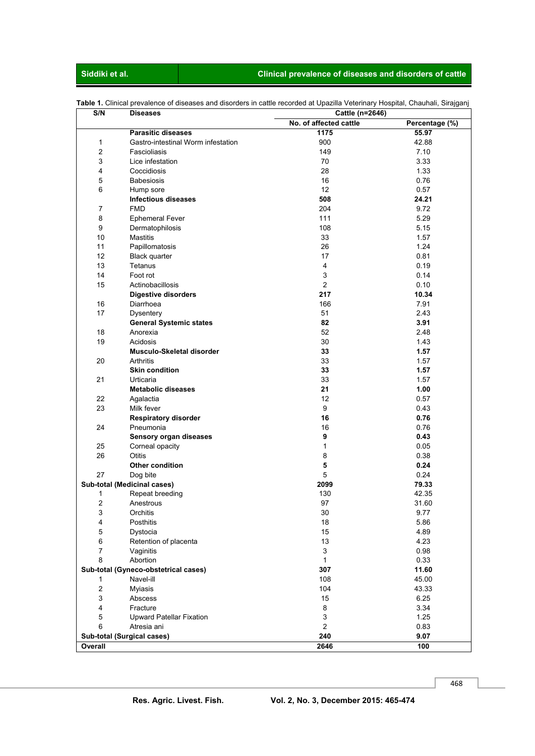## **Siddiki et al. Clinical prevalence of diseases and disorders of cattle**

| S/N            | <b>Diseases</b>                      | Cattle (n=2646)        |                |
|----------------|--------------------------------------|------------------------|----------------|
|                |                                      | No. of affected cattle | Percentage (%) |
|                | <b>Parasitic diseases</b>            | 1175                   | 55.97          |
| 1              | Gastro-intestinal Worm infestation   | 900                    | 42.88          |
| $\overline{2}$ | Fascioliasis                         | 149                    | 7.10           |
| 3              | Lice infestation                     | 70                     | 3.33           |
| 4              | Coccidiosis                          | 28                     | 1.33           |
| 5              | <b>Babesiosis</b>                    | 16                     | 0.76           |
| 6              | Hump sore                            | 12                     | 0.57           |
|                | <b>Infectious diseases</b>           | 508                    | 24.21          |
| 7              | <b>FMD</b>                           | 204                    | 9.72           |
| 8              | <b>Ephemeral Fever</b>               | 111                    | 5.29           |
| 9              | Dermatophilosis                      | 108                    | 5.15           |
| 10             |                                      | 33                     |                |
|                | <b>Mastitis</b>                      |                        | 1.57           |
| 11             | Papillomatosis                       | 26                     | 1.24           |
| 12             | <b>Black quarter</b>                 | 17                     | 0.81           |
| 13             | Tetanus                              | 4                      | 0.19           |
| 14             | Foot rot                             | 3                      | 0.14           |
| 15             | Actinobacillosis                     | $\overline{2}$         | 0.10           |
|                | <b>Digestive disorders</b>           | 217                    | 10.34          |
| 16             | Diarrhoea                            | 166                    | 7.91           |
| 17             | Dysentery                            | 51                     | 2.43           |
|                | <b>General Systemic states</b>       | 82                     | 3.91           |
| 18             | Anorexia                             | 52                     | 2.48           |
| 19             | Acidosis                             | 30                     | 1.43           |
|                | Musculo-Skeletal disorder            | 33                     | 1.57           |
| 20             | Arthritis                            | 33                     | 1.57           |
|                | <b>Skin condition</b>                | 33                     | 1.57           |
| 21             | Urticaria                            | 33                     | 1.57           |
|                |                                      | 21                     | 1.00           |
|                | <b>Metabolic diseases</b>            |                        |                |
| 22             | Agalactia                            | 12                     | 0.57           |
| 23             | Milk fever                           | 9                      | 0.43           |
|                | <b>Respiratory disorder</b>          | 16                     | 0.76           |
| 24             | Pneumonia                            | 16                     | 0.76           |
|                | Sensory organ diseases               | 9                      | 0.43           |
| 25             | Corneal opacity                      | 1                      | 0.05           |
| 26             | Otitis                               | 8                      | 0.38           |
|                | <b>Other condition</b>               | 5                      | 0.24           |
| 27             | Dog bite                             | 5                      | 0.24           |
|                | Sub-total (Medicinal cases)          | 2099                   | 79.33          |
| 1              | Repeat breeding                      | 130                    | 42.35          |
| 2              | Anestrous                            | 97                     | 31.60          |
| 3              | Orchitis                             | $30\,$                 | 9.77           |
| 4              | Posthitis                            | 18                     | 5.86           |
| 5              | Dystocia                             | 15                     | 4.89           |
| 6              | Retention of placenta                | 13                     | 4.23           |
| 7              |                                      | 3                      | 0.98           |
|                | Vaginitis                            |                        |                |
| 8              | Abortion                             | $\mathbf{1}$           | 0.33           |
|                | Sub-total (Gyneco-obstetrical cases) | 307                    | 11.60          |
| 1              | Navel-ill                            | 108                    | 45.00          |
| $\overline{c}$ | Myiasis                              | 104                    | 43.33          |
| 3              | Abscess                              | 15                     | 6.25           |
| 4              | Fracture                             | 8                      | 3.34           |
| 5              | <b>Upward Patellar Fixation</b>      | 3                      | 1.25           |
| 6              | Atresia ani                          | $\overline{a}$         | 0.83           |
|                | Sub-total (Surgical cases)           | 240                    | 9.07           |
| Overall        |                                      | 2646                   | 100            |

**Table 1.** Clinical prevalence of diseases and disorders in cattle recorded at Upazilla Veterinary Hospital, Chauhali, Sirajganj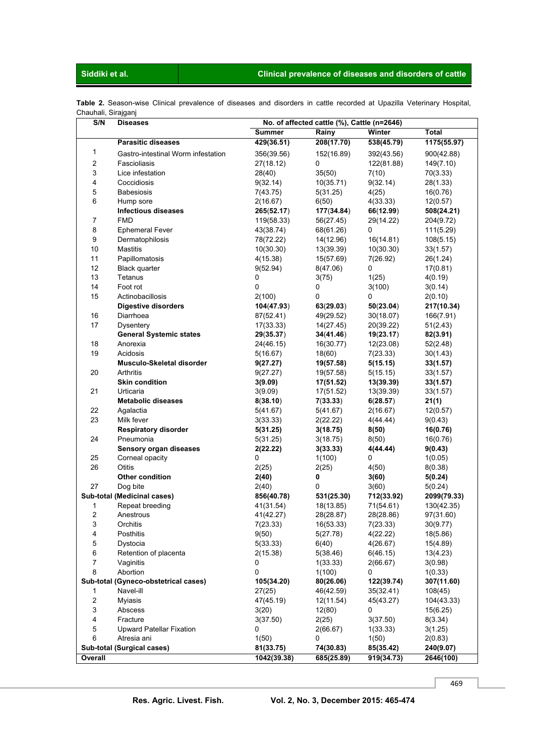# **Siddiki et al. Clinical prevalence of diseases and disorders of cattle**

| Table 2. Season-wise Clinical prevalence of diseases and disorders in cattle recorded at Upazilla Veterinary Hospital, |  |  |  |  |  |  |  |
|------------------------------------------------------------------------------------------------------------------------|--|--|--|--|--|--|--|
| Chauhali, Sirajganj                                                                                                    |  |  |  |  |  |  |  |

| S/N                     | <b>Diseases</b>                      | No. of affected cattle (%), Cattle (n=2646) |            |                         |              |  |  |  |  |  |
|-------------------------|--------------------------------------|---------------------------------------------|------------|-------------------------|--------------|--|--|--|--|--|
|                         |                                      | Summer                                      | Rainy      | Winter                  | <b>Total</b> |  |  |  |  |  |
|                         | <b>Parasitic diseases</b>            | 429(36.51)                                  | 208(17.70) | $\overline{538(45.79)}$ | 1175(55.97)  |  |  |  |  |  |
| 1                       | Gastro-intestinal Worm infestation   | 356(39.56)                                  | 152(16.89) | 392(43.56)              | 900(42.88)   |  |  |  |  |  |
| $\overline{2}$          | Fascioliasis                         | 27(18.12)                                   | 0          | 122(81.88)              | 149(7.10)    |  |  |  |  |  |
| 3                       | Lice infestation                     | 28(40)                                      | 35(50)     | 7(10)                   | 70(3.33)     |  |  |  |  |  |
| 4                       | Coccidiosis                          | 9(32.14)                                    | 10(35.71)  | 9(32.14)                | 28(1.33)     |  |  |  |  |  |
| $\mathbf 5$             | <b>Babesiosis</b>                    | 7(43.75)                                    | 5(31.25)   | 4(25)                   | 16(0.76)     |  |  |  |  |  |
| 6                       | Hump sore                            | 2(16.67)                                    | 6(50)      | 4(33.33)                | 12(0.57)     |  |  |  |  |  |
|                         | <b>Infectious diseases</b>           | 265(52.17)                                  | 177(34.84) | 66(12.99)               | 508(24.21)   |  |  |  |  |  |
| 7                       | <b>FMD</b>                           | 119(58.33)                                  | 56(27.45)  | 29(14.22)               | 204(9.72)    |  |  |  |  |  |
| 8                       | <b>Ephemeral Fever</b>               | 43(38.74)                                   | 68(61.26)  | 0                       | 111(5.29)    |  |  |  |  |  |
| 9                       | Dermatophilosis                      | 78(72.22)                                   | 14(12.96)  | 16(14.81)               | 108(5.15)    |  |  |  |  |  |
| 10                      | <b>Mastitis</b>                      | 10(30.30)                                   | 13(39.39)  | 10(30.30)               | 33(1.57)     |  |  |  |  |  |
| 11                      | Papillomatosis                       | 4(15.38)                                    | 15(57.69)  | 7(26.92)                | 26(1.24)     |  |  |  |  |  |
| 12                      | <b>Black quarter</b>                 | 9(52.94)                                    | 8(47.06)   | 0                       | 17(0.81)     |  |  |  |  |  |
| 13                      | Tetanus                              | 0                                           | 3(75)      | 1(25)                   | 4(0.19)      |  |  |  |  |  |
| 14                      | Foot rot                             | 0                                           | 0          | 3(100)                  | 3(0.14)      |  |  |  |  |  |
| 15                      | Actinobacillosis                     | 2(100)                                      | 0          | 0                       | 2(0.10)      |  |  |  |  |  |
|                         | <b>Digestive disorders</b>           | 104(47.93)                                  | 63(29.03)  | 50(23.04)               | 217(10.34)   |  |  |  |  |  |
| 16                      | Diarrhoea                            | 87(52.41)                                   | 49(29.52)  | 30(18.07)               | 166(7.91)    |  |  |  |  |  |
| 17                      | Dysentery                            | 17(33.33)                                   | 14(27.45)  | 20(39.22)               | 51(2.43)     |  |  |  |  |  |
|                         | <b>General Systemic states</b>       | 29(35.37)                                   | 34(41.46)  | 19(23.17)               | 82(3.91)     |  |  |  |  |  |
| 18                      | Anorexia                             | 24(46.15)                                   | 16(30.77)  | 12(23.08)               | 52(2.48)     |  |  |  |  |  |
| 19                      | Acidosis                             | 5(16.67)                                    | 18(60)     | 7(23.33)                | 30(1.43)     |  |  |  |  |  |
|                         | Musculo-Skeletal disorder            | 9(27.27)                                    | 19(57.58)  | 5(15.15)                | 33(1.57)     |  |  |  |  |  |
| 20                      | Arthritis                            | 9(27.27)                                    | 19(57.58)  | 5(15.15)                | 33(1.57)     |  |  |  |  |  |
|                         | <b>Skin condition</b>                | 3(9.09)                                     | 17(51.52)  | 13(39.39)               | 33(1.57)     |  |  |  |  |  |
| 21                      | Urticaria                            | 3(9.09)                                     | 17(51.52)  | 13(39.39)               | 33(1.57)     |  |  |  |  |  |
|                         | <b>Metabolic diseases</b>            | 8(38.10)                                    | 7(33.33)   | 6(28.57)                | 21(1)        |  |  |  |  |  |
| 22                      | Agalactia                            | 5(41.67)                                    | 5(41.67)   | 2(16.67)                | 12(0.57)     |  |  |  |  |  |
| 23                      | Milk fever                           | 3(33.33)                                    | 2(22.22)   | 4(44.44)                | 9(0.43)      |  |  |  |  |  |
|                         | <b>Respiratory disorder</b>          | 5(31.25)                                    | 3(18.75)   | 8(50)                   | 16(0.76)     |  |  |  |  |  |
| 24                      | Pneumonia                            | 5(31.25)                                    | 3(18.75)   | 8(50)                   | 16(0.76)     |  |  |  |  |  |
|                         | Sensory organ diseases               | 2(22.22)                                    | 3(33.33)   | 4(44.44)                | 9(0.43)      |  |  |  |  |  |
| 25                      | Corneal opacity                      | 0                                           | 1(100)     | 0                       | 1(0.05)      |  |  |  |  |  |
| 26                      | <b>Otitis</b>                        | 2(25)                                       | 2(25)      | 4(50)                   | 8(0.38)      |  |  |  |  |  |
|                         | Other condition                      | 2(40)                                       | 0          | 3(60)                   | 5(0.24)      |  |  |  |  |  |
| 27                      | Dog bite                             | 2(40)                                       | 0          | 3(60)                   | 5(0.24)      |  |  |  |  |  |
|                         | Sub-total (Medicinal cases)          | 856(40.78)                                  | 531(25.30) | 712(33.92)              | 2099(79.33)  |  |  |  |  |  |
| 1                       | Repeat breeding                      | 41(31.54)                                   | 18(13.85)  | 71(54.61)               | 130(42.35)   |  |  |  |  |  |
| 2                       | Anestrous                            | 41(42.27)                                   | 28(28.87)  | 28(28.86)               | 97(31.60)    |  |  |  |  |  |
| 3                       | Orchitis                             | 7(23.33)                                    | 16(53.33)  | 7(23.33)                | 30(9.77)     |  |  |  |  |  |
| 4                       | Posthitis                            | 9(50)                                       | 5(27.78)   | 4(22.22)                | 18(5.86)     |  |  |  |  |  |
| 5                       | Dystocia                             | 5(33.33)                                    | 6(40)      | 4(26.67)                | 15(4.89)     |  |  |  |  |  |
| 6                       | Retention of placenta                | 2(15.38)                                    | 5(38.46)   | 6(46.15)                | 13(4.23)     |  |  |  |  |  |
| $\overline{7}$          | Vaginitis                            | 0                                           | 1(33.33)   | 2(66.67)                | 3(0.98)      |  |  |  |  |  |
| 8                       | Abortion                             | 0                                           | 1(100)     | 0                       | 1(0.33)      |  |  |  |  |  |
|                         | Sub-total (Gyneco-obstetrical cases) | 105(34.20)                                  | 80(26.06)  | 122(39.74)              | 307(11.60)   |  |  |  |  |  |
| 1                       | Navel-ill                            | 27(25)                                      | 46(42.59)  | 35(32.41)               | 108(45)      |  |  |  |  |  |
| $\overline{\mathbf{c}}$ | <b>Myiasis</b>                       | 47(45.19)                                   | 12(11.54)  | 45(43.27)               | 104(43.33)   |  |  |  |  |  |
| 3                       | Abscess                              | 3(20)                                       | 12(80)     | 0                       | 15(6.25)     |  |  |  |  |  |
| 4                       | Fracture                             | 3(37.50)                                    | 2(25)      | 3(37.50)                | 8(3.34)      |  |  |  |  |  |
| 5                       | <b>Upward Patellar Fixation</b>      | 0                                           | 2(66.67)   | 1(33.33)                | 3(1.25)      |  |  |  |  |  |
| 6                       | Atresia ani                          | 1(50)                                       | 0          | 1(50)                   | 2(0.83)      |  |  |  |  |  |
|                         | Sub-total (Surgical cases)           | 81(33.75)                                   | 74(30.83)  | 85(35.42)               | 240(9.07)    |  |  |  |  |  |
| Overall                 |                                      | 1042(39.38)                                 | 685(25.89) | 919(34.73)              | 2646(100)    |  |  |  |  |  |

469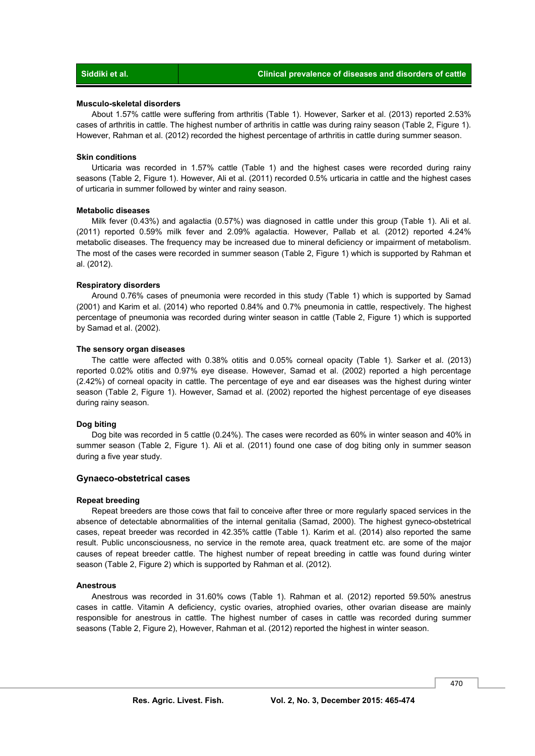#### **Musculo-skeletal disorders**

 About 1.57% cattle were suffering from arthritis (Table 1). However, Sarker et al. (2013) reported 2.53% cases of arthritis in cattle. The highest number of arthritis in cattle was during rainy season (Table 2, Figure 1). However, Rahman et al. (2012) recorded the highest percentage of arthritis in cattle during summer season.

#### **Skin conditions**

 Urticaria was recorded in 1.57% cattle (Table 1) and the highest cases were recorded during rainy seasons (Table 2, Figure 1). However, Ali et al. (2011) recorded 0.5% urticaria in cattle and the highest cases of urticaria in summer followed by winter and rainy season.

### **Metabolic diseases**

 Milk fever (0.43%) and agalactia (0.57%) was diagnosed in cattle under this group (Table 1). Ali et al. (2011) reported 0.59% milk fever and 2.09% agalactia. However, Pallab et al*.* (2012) reported 4.24% metabolic diseases. The frequency may be increased due to mineral deficiency or impairment of metabolism. The most of the cases were recorded in summer season (Table 2, Figure 1) which is supported by Rahman et al. (2012).

#### **Respiratory disorders**

 Around 0.76% cases of pneumonia were recorded in this study (Table 1) which is supported by Samad (2001) and Karim et al. (2014) who reported 0.84% and 0.7% pneumonia in cattle, respectively. The highest percentage of pneumonia was recorded during winter season in cattle (Table 2, Figure 1) which is supported by Samad et al. (2002).

#### **The sensory organ diseases**

 The cattle were affected with 0.38% otitis and 0.05% corneal opacity (Table 1). Sarker et al. (2013) reported 0.02% otitis and 0.97% eye disease. However, Samad et al. (2002) reported a high percentage (2.42%) of corneal opacity in cattle. The percentage of eye and ear diseases was the highest during winter season (Table 2, Figure 1). However, Samad et al. (2002) reported the highest percentage of eye diseases during rainy season.

#### **Dog biting**

 Dog bite was recorded in 5 cattle (0.24%). The cases were recorded as 60% in winter season and 40% in summer season (Table 2, Figure 1). Ali et al. (2011) found one case of dog biting only in summer season during a five year study.

#### **Gynaeco-obstetrical cases**

#### **Repeat breeding**

 Repeat breeders are those cows that fail to conceive after three or more regularly spaced services in the absence of detectable abnormalities of the internal genitalia (Samad, 2000). The highest gyneco-obstetrical cases, repeat breeder was recorded in 42.35% cattle (Table 1). Karim et al. (2014) also reported the same result. Public unconsciousness, no service in the remote area, quack treatment etc. are some of the major causes of repeat breeder cattle. The highest number of repeat breeding in cattle was found during winter season (Table 2, Figure 2) which is supported by Rahman et al. (2012).

#### **Anestrous**

 Anestrous was recorded in 31.60% cows (Table 1). Rahman et al. (2012) reported 59.50% anestrus cases in cattle. Vitamin A deficiency, cystic ovaries, atrophied ovaries, other ovarian disease are mainly responsible for anestrous in cattle. The highest number of cases in cattle was recorded during summer seasons (Table 2, Figure 2), However, Rahman et al. (2012) reported the highest in winter season.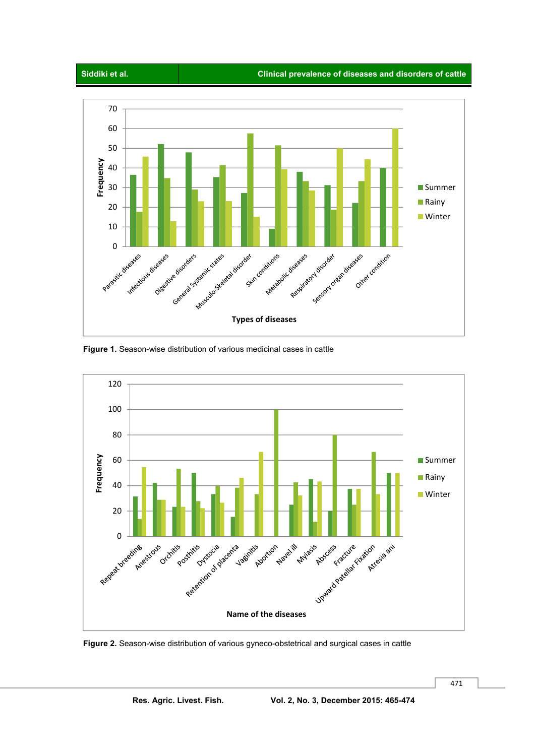





 **Figure 1.** Season-wise distribution of various medicinal cases in cattle



 **Figure 2.** Season-wise distribution of various gyneco-obstetrical and surgical cases in cattle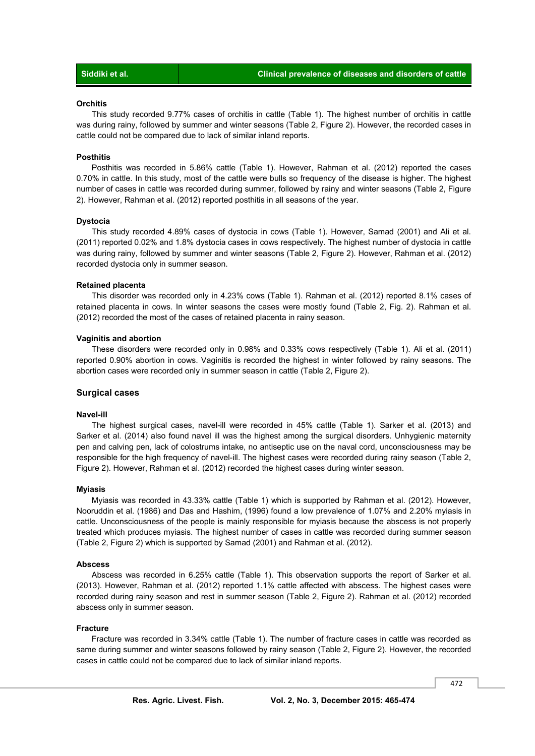### **Orchitis**

 This study recorded 9.77% cases of orchitis in cattle (Table 1). The highest number of orchitis in cattle was during rainy, followed by summer and winter seasons (Table 2, Figure 2). However, the recorded cases in cattle could not be compared due to lack of similar inland reports.

#### **Posthitis**

 Posthitis was recorded in 5.86% cattle (Table 1). However, Rahman et al. (2012) reported the cases 0.70% in cattle. In this study, most of the cattle were bulls so frequency of the disease is higher. The highest number of cases in cattle was recorded during summer, followed by rainy and winter seasons (Table 2, Figure 2). However, Rahman et al. (2012) reported posthitis in all seasons of the year.

#### **Dystocia**

 This study recorded 4.89% cases of dystocia in cows (Table 1). However, Samad (2001) and Ali et al. (2011) reported 0.02% and 1.8% dystocia cases in cows respectively. The highest number of dystocia in cattle was during rainy, followed by summer and winter seasons (Table 2, Figure 2). However, Rahman et al. (2012) recorded dystocia only in summer season.

#### **Retained placenta**

 This disorder was recorded only in 4.23% cows (Table 1). Rahman et al. (2012) reported 8.1% cases of retained placenta in cows. In winter seasons the cases were mostly found (Table 2, Fig. 2). Rahman et al. (2012) recorded the most of the cases of retained placenta in rainy season.

#### **Vaginitis and abortion**

 These disorders were recorded only in 0.98% and 0.33% cows respectively (Table 1). Ali et al. (2011) reported 0.90% abortion in cows. Vaginitis is recorded the highest in winter followed by rainy seasons. The abortion cases were recorded only in summer season in cattle (Table 2, Figure 2).

#### **Surgical cases**

#### **Navel-ill**

 The highest surgical cases, navel-ill were recorded in 45% cattle (Table 1). Sarker et al. (2013) and Sarker et al. (2014) also found navel ill was the highest among the surgical disorders. Unhygienic maternity pen and calving pen, lack of colostrums intake, no antiseptic use on the naval cord, unconsciousness may be responsible for the high frequency of navel-ill. The highest cases were recorded during rainy season (Table 2, Figure 2). However, Rahman et al. (2012) recorded the highest cases during winter season.

#### **Myiasis**

 Myiasis was recorded in 43.33% cattle (Table 1) which is supported by Rahman et al. (2012). However, Nooruddin et al. (1986) and Das and Hashim, (1996) found a low prevalence of 1.07% and 2.20% myiasis in cattle. Unconsciousness of the people is mainly responsible for myiasis because the abscess is not properly treated which produces myiasis. The highest number of cases in cattle was recorded during summer season (Table 2, Figure 2) which is supported by Samad (2001) and Rahman et al. (2012).

#### **Abscess**

 Abscess was recorded in 6.25% cattle (Table 1). This observation supports the report of Sarker et al. (2013). However, Rahman et al. (2012) reported 1.1% cattle affected with abscess. The highest cases were recorded during rainy season and rest in summer season (Table 2, Figure 2). Rahman et al. (2012) recorded abscess only in summer season.

#### **Fracture**

 Fracture was recorded in 3.34% cattle (Table 1). The number of fracture cases in cattle was recorded as same during summer and winter seasons followed by rainy season (Table 2, Figure 2). However, the recorded cases in cattle could not be compared due to lack of similar inland reports.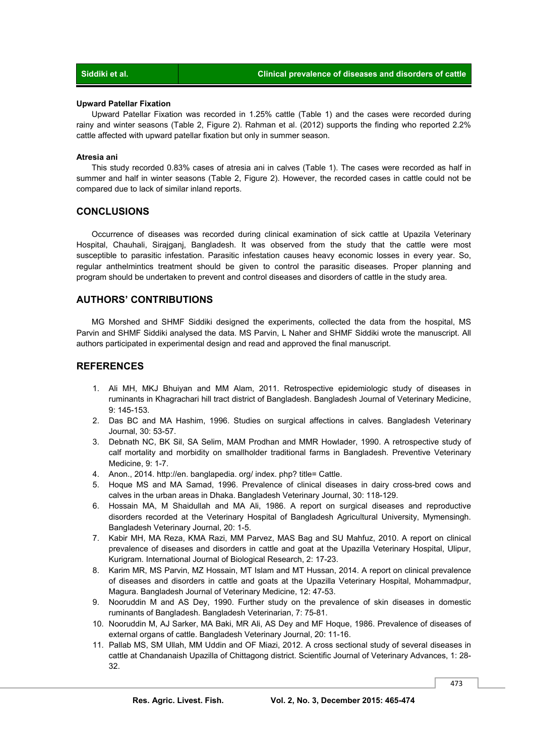#### **Upward Patellar Fixation**

 Upward Patellar Fixation was recorded in 1.25% cattle (Table 1) and the cases were recorded during rainy and winter seasons (Table 2, Figure 2). Rahman et al. (2012) supports the finding who reported 2.2% cattle affected with upward patellar fixation but only in summer season.

#### **Atresia ani**

 This study recorded 0.83% cases of atresia ani in calves (Table 1). The cases were recorded as half in summer and half in winter seasons (Table 2, Figure 2). However, the recorded cases in cattle could not be compared due to lack of similar inland reports.

### **CONCLUSIONS**

 Occurrence of diseases was recorded during clinical examination of sick cattle at Upazila Veterinary Hospital, Chauhali, Sirajganj, Bangladesh. It was observed from the study that the cattle were most susceptible to parasitic infestation. Parasitic infestation causes heavy economic losses in every year. So, regular anthelmintics treatment should be given to control the parasitic diseases. Proper planning and program should be undertaken to prevent and control diseases and disorders of cattle in the study area.

### **AUTHORS' CONTRIBUTIONS**

 MG Morshed and SHMF Siddiki designed the experiments, collected the data from the hospital, MS Parvin and SHMF Siddiki analysed the data. MS Parvin, L Naher and SHMF Siddiki wrote the manuscript. All authors participated in experimental design and read and approved the final manuscript.

### **REFERENCES**

- 1. Ali MH, MKJ Bhuiyan and MM Alam, 2011. Retrospective epidemiologic study of diseases in ruminants in Khagrachari hill tract district of Bangladesh. Bangladesh Journal of Veterinary Medicine, 9: 145-153.
- 2. Das BC and MA Hashim, 1996. Studies on surgical affections in calves. Bangladesh Veterinary Journal, 30: 53-57.
- 3. Debnath NC, BK Sil, SA Selim, MAM Prodhan and MMR Howlader, 1990. A retrospective study of calf mortality and morbidity on smallholder traditional farms in Bangladesh. Preventive Veterinary Medicine, 9: 1-7.
- 4. Anon., 2014. http://en. banglapedia. org/ index. php? title= Cattle.
- 5. Hoque MS and MA Samad, 1996. Prevalence of clinical diseases in dairy cross-bred cows and calves in the urban areas in Dhaka. Bangladesh Veterinary Journal, 30: 118-129.
- 6. Hossain MA, M Shaidullah and MA Ali, 1986. A report on surgical diseases and reproductive disorders recorded at the Veterinary Hospital of Bangladesh Agricultural University, Mymensingh. Bangladesh Veterinary Journal, 20: 1-5.
- 7. Kabir MH, MA Reza, KMA Razi, MM Parvez, MAS Bag and SU Mahfuz, 2010. A report on clinical prevalence of diseases and disorders in cattle and goat at the Upazilla Veterinary Hospital, Ulipur, Kurigram. International Journal of Biological Research, 2: 17-23.
- 8. Karim MR, MS Parvin, MZ Hossain, MT Islam and MT Hussan, 2014. A report on clinical prevalence of diseases and disorders in cattle and goats at the Upazilla Veterinary Hospital, Mohammadpur, Magura. Bangladesh Journal of Veterinary Medicine, 12: 47-53.
- 9. Nooruddin M and AS Dey, 1990. Further study on the prevalence of skin diseases in domestic ruminants of Bangladesh. Bangladesh Veterinarian, 7: 75-81.
- 10. Nooruddin M, AJ Sarker, MA Baki, MR Ali, AS Dey and MF Hoque, 1986. Prevalence of diseases of external organs of cattle. Bangladesh Veterinary Journal, 20: 11-16.
- 11. Pallab MS, SM Ullah, MM Uddin and OF Miazi, 2012. A cross sectional study of several diseases in cattle at Chandanaish Upazilla of Chittagong district. Scientific Journal of Veterinary Advances, 1: 28- 32.